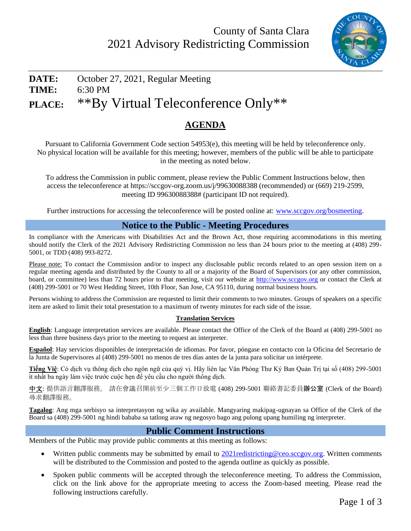

# **DATE:** October 27, 2021, Regular Meeting **TIME:** 6:30 PM **PLACE:** \*\*By Virtual Teleconference Only\*\*

## **AGENDA**

Pursuant to California Government Code section 54953(e), this meeting will be held by teleconference only. No physical location will be available for this meeting; however, members of the public will be able to participate in the meeting as noted below.

To address the Commission in public comment, please review the Public Comment Instructions below, then access the teleconference at https://sccgov-org.zoom.us/j/99630088388 (recommended) or (669) 219-2599, meeting ID 99630088388# (participant ID not required).

Further instructions for accessing the teleconference will be posted online at: [www.sccgov.org/bosmeeting.](http://www.sccgov.org/bosmeeting)

#### **Notice to the Public - Meeting Procedures**

In compliance with the Americans with Disabilities Act and the Brown Act, those requiring accommodations in this meeting should notify the Clerk of the 2021 Advisory Redistricting Commission no less than 24 hours prior to the meeting at (408) 299- 5001, or TDD (408) 993-8272.

Please note: To contact the Commission and/or to inspect any disclosable public records related to an open session item on a regular meeting agenda and distributed by the County to all or a majority of the Board of Supervisors (or any other commission, board, or committee) less than 72 hours prior to that meeting, visit our website at [http://www.sccgov.org](http://www.sccgov.org/) or contact the Clerk at (408) 299-5001 or 70 West Hedding Street, 10th Floor, San Jose, CA 95110, during normal business hours.

Persons wishing to address the Commission are requested to limit their comments to two minutes. Groups of speakers on a specific item are asked to limit their total presentation to a maximum of twenty minutes for each side of the issue.

#### **Translation Services**

**English**: Language interpretation services are available. Please contact the Office of the Clerk of the Board at (408) 299-5001 no less than three business days prior to the meeting to request an interpreter.

**Español**: Hay servicios disponibles de interpretación de idiomas. Por favor, póngase en contacto con la Oficina del Secretario de la Junta de Supervisores al (408) 299-5001 no menos de tres días antes de la junta para solicitar un intérprete.

**Tiếng Việ**: Có dịch vụ thông dịch cho ngôn ngữ của quý vị. Hãy liên lạc Văn Phòng Thư Ký Ban Quản Trị tại số (408) 299-5001 ít nhất ba ngày làm việc trước cuộc hẹn để yêu cầu cho người thông dịch.

中文: 提供語言翻譯服務。 請在會議召開前至少三個工作日致電 (408) 299-5001 聯絡書記委員辦公室 (Clerk of the Board) 尋求翻譯服務。

**Tagalog**: Ang mga serbisyo sa interpretasyon ng wika ay available. Mangyaring makipag-ugnayan sa Office of the Clerk of the Board sa (408) 299-5001 ng hindi bababa sa tatlong araw ng negosyo bago ang pulong upang humiling ng interpreter.

#### **Public Comment Instructions**

Members of the Public may provide public comments at this meeting as follows:

- Written public comments may be submitted by email to  $2021$  redistricting @ceo.sccgov.org. Written comments will be distributed to the Commission and posted to the agenda outline as quickly as possible.
- Spoken public comments will be accepted through the teleconference meeting. To address the Commission, click on the link above for the appropriate meeting to access the Zoom-based meeting. Please read the following instructions carefully.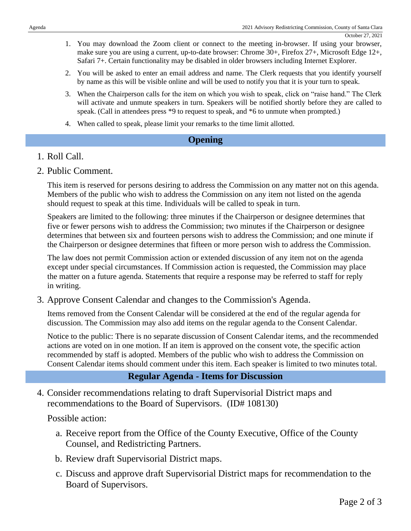- 1. You may download the Zoom client or connect to the meeting in-browser. If using your browser, make sure you are using a current, up-to-date browser: Chrome 30+, Firefox 27+, Microsoft Edge 12+, Safari 7+. Certain functionality may be disabled in older browsers including Internet Explorer.
- 2. You will be asked to enter an email address and name. The Clerk requests that you identify yourself by name as this will be visible online and will be used to notify you that it is your turn to speak.
- 3. When the Chairperson calls for the item on which you wish to speak, click on "raise hand." The Clerk will activate and unmute speakers in turn. Speakers will be notified shortly before they are called to speak. (Call in attendees press \*9 to request to speak, and \*6 to unmute when prompted.)
- 4. When called to speak, please limit your remarks to the time limit allotted.

#### **Opening**

#### 1. Roll Call.

2. Public Comment.

This item is reserved for persons desiring to address the Commission on any matter not on this agenda. Members of the public who wish to address the Commission on any item not listed on the agenda should request to speak at this time. Individuals will be called to speak in turn.

Speakers are limited to the following: three minutes if the Chairperson or designee determines that five or fewer persons wish to address the Commission; two minutes if the Chairperson or designee determines that between six and fourteen persons wish to address the Commission; and one minute if the Chairperson or designee determines that fifteen or more person wish to address the Commission.

The law does not permit Commission action or extended discussion of any item not on the agenda except under special circumstances. If Commission action is requested, the Commission may place the matter on a future agenda. Statements that require a response may be referred to staff for reply in writing.

3. Approve Consent Calendar and changes to the Commission's Agenda.

Items removed from the Consent Calendar will be considered at the end of the regular agenda for discussion. The Commission may also add items on the regular agenda to the Consent Calendar.

Notice to the public: There is no separate discussion of Consent Calendar items, and the recommended actions are voted on in one motion. If an item is approved on the consent vote, the specific action recommended by staff is adopted. Members of the public who wish to address the Commission on Consent Calendar items should comment under this item. Each speaker is limited to two minutes total.

### **Regular Agenda - Items for Discussion**

4. Consider recommendations relating to draft Supervisorial District maps and recommendations to the Board of Supervisors. (ID# 108130)

Possible action:

- a. Receive report from the Office of the County Executive, Office of the County Counsel, and Redistricting Partners.
- b. Review draft Supervisorial District maps.
- c. Discuss and approve draft Supervisorial District maps for recommendation to the Board of Supervisors.